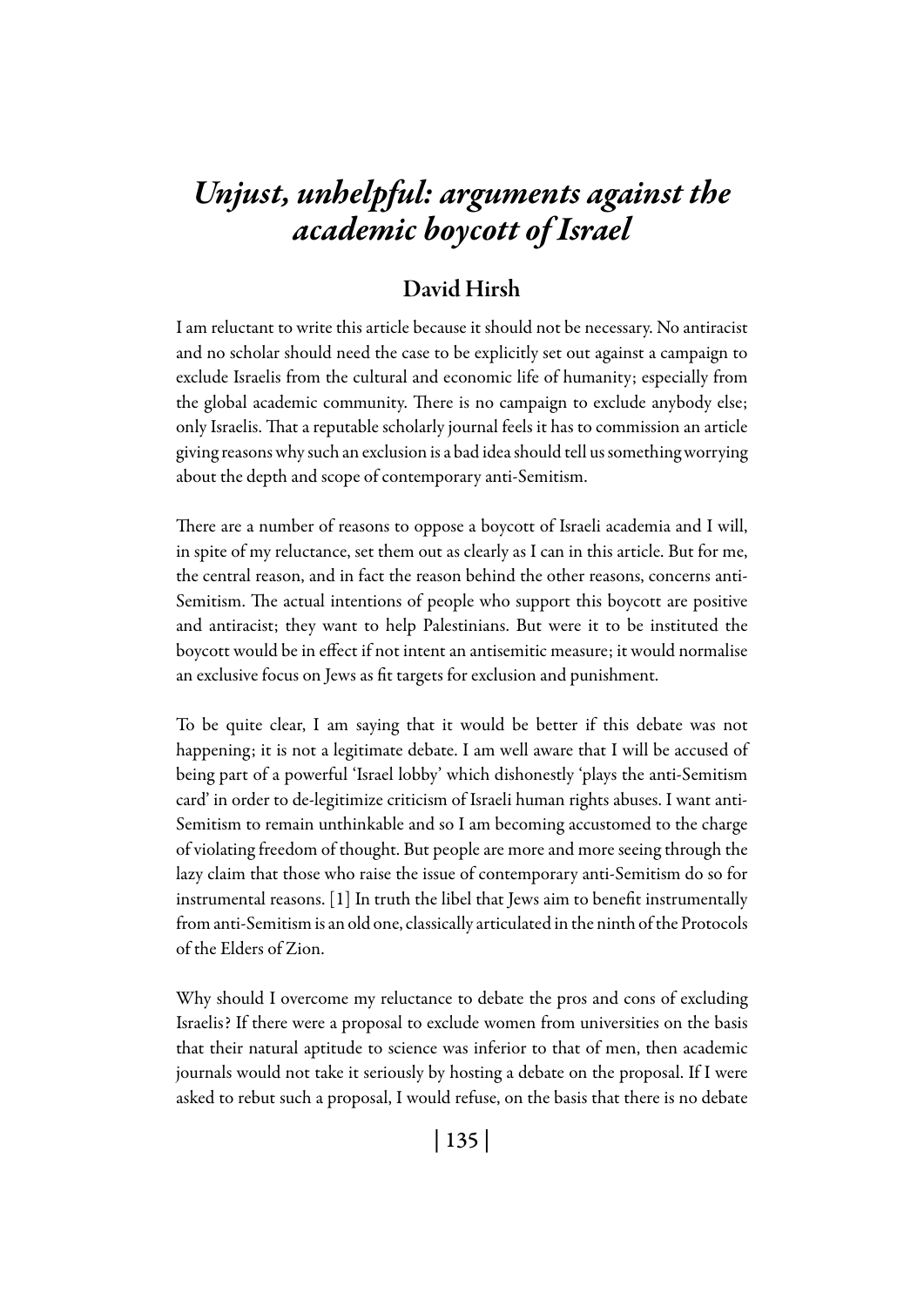# *Unjust, unhelpful: arguments against the academic boycott of Israel*

# David Hirsh

I am reluctant to write this article because it should not be necessary. No antiracist and no scholar should need the case to be explicitly set out against a campaign to exclude Israelis from the cultural and economic life of humanity; especially from the global academic community. There is no campaign to exclude anybody else; only Israelis. That a reputable scholarly journal feels it has to commission an article giving reasons why such an exclusion is a bad idea should tell us something worrying about the depth and scope of contemporary anti-Semitism.

There are a number of reasons to oppose a boycott of Israeli academia and I will, in spite of my reluctance, set them out as clearly as I can in this article. But for me, the central reason, and in fact the reason behind the other reasons, concerns anti-Semitism. The actual intentions of people who support this boycott are positive and antiracist; they want to help Palestinians. But were it to be instituted the boycott would be in effect if not intent an antisemitic measure; it would normalise an exclusive focus on Jews as fit targets for exclusion and punishment.

To be quite clear, I am saying that it would be better if this debate was not happening; it is not a legitimate debate. I am well aware that I will be accused of being part of a powerful 'Israel lobby' which dishonestly 'plays the anti-Semitism card' in order to de-legitimize criticism of Israeli human rights abuses. I want anti-Semitism to remain unthinkable and so I am becoming accustomed to the charge of violating freedom of thought. But people are more and more seeing through the lazy claim that those who raise the issue of contemporary anti-Semitism do so for instrumental reasons. [1] In truth the libel that Jews aim to benefit instrumentally from anti-Semitism is an old one, classically articulated in the ninth of the Protocols of the Elders of Zion.

Why should I overcome my reluctance to debate the pros and cons of excluding Israelis? If there were a proposal to exclude women from universities on the basis that their natural aptitude to science was inferior to that of men, then academic journals would not take it seriously by hosting a debate on the proposal. If I were asked to rebut such a proposal, I would refuse, on the basis that there is no debate

| 135 |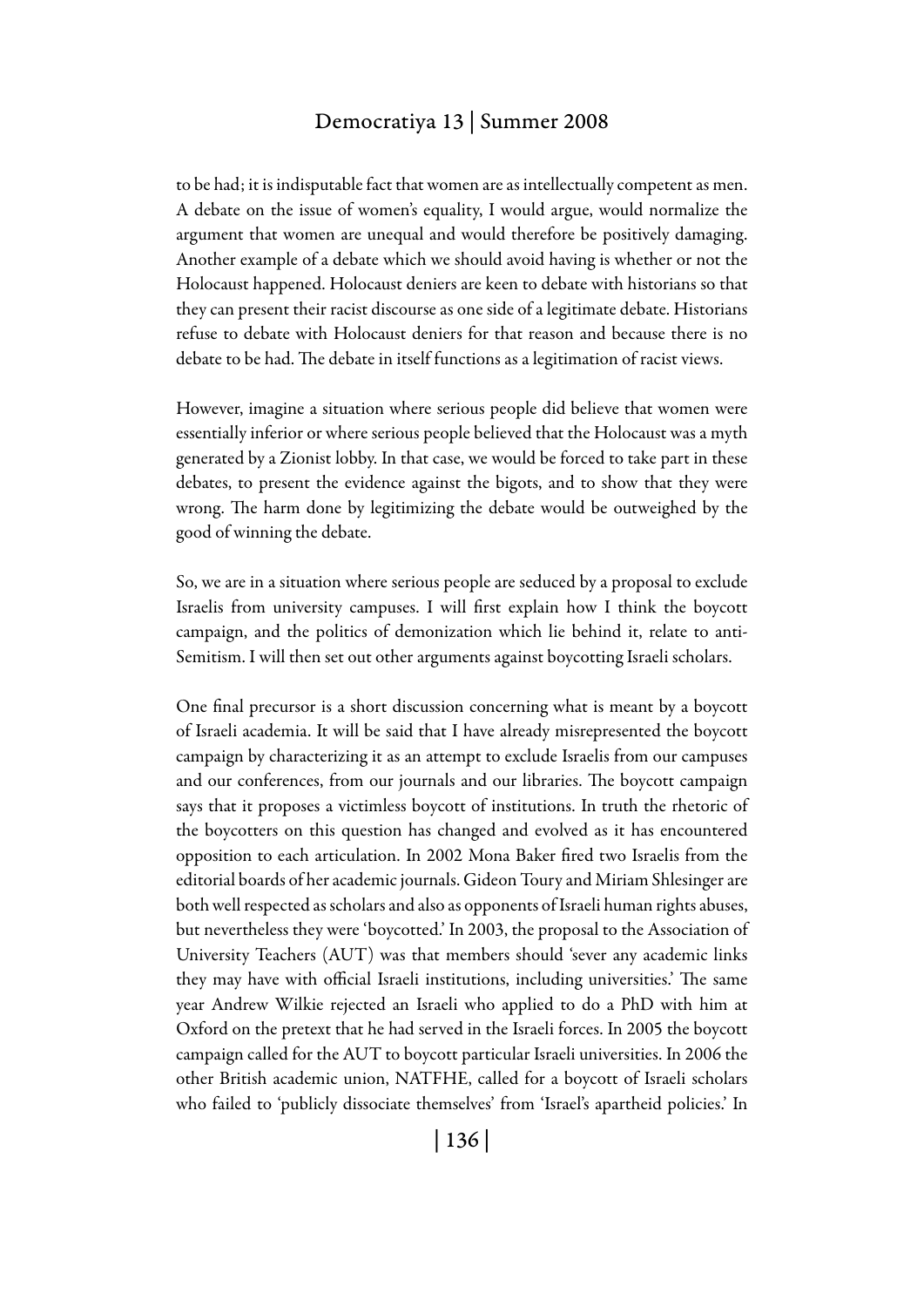to be had; it is indisputable fact that women are as intellectually competent as men. A debate on the issue of women's equality, I would argue, would normalize the argument that women are unequal and would therefore be positively damaging. Another example of a debate which we should avoid having is whether or not the Holocaust happened. Holocaust deniers are keen to debate with historians so that they can present their racist discourse as one side of a legitimate debate. Historians refuse to debate with Holocaust deniers for that reason and because there is no debate to be had. The debate in itself functions as a legitimation of racist views.

However, imagine a situation where serious people did believe that women were essentially inferior or where serious people believed that the Holocaust was a myth generated by a Zionist lobby. In that case, we would be forced to take part in these debates, to present the evidence against the bigots, and to show that they were wrong. The harm done by legitimizing the debate would be outweighed by the good of winning the debate.

So, we are in a situation where serious people are seduced by a proposal to exclude Israelis from university campuses. I will first explain how I think the boycott campaign, and the politics of demonization which lie behind it, relate to anti-Semitism. I will then set out other arguments against boycotting Israeli scholars.

One final precursor is a short discussion concerning what is meant by a boycott of Israeli academia. It will be said that I have already misrepresented the boycott campaign by characterizing it as an attempt to exclude Israelis from our campuses and our conferences, from our journals and our libraries. The boycott campaign says that it proposes a victimless boycott of institutions. In truth the rhetoric of the boycotters on this question has changed and evolved as it has encountered opposition to each articulation. In 2002 Mona Baker fired two Israelis from the editorial boards of her academic journals. Gideon Toury and Miriam Shlesinger are both well respected as scholars and also as opponents of Israeli human rights abuses, but nevertheless they were 'boycotted.' In 2003, the proposal to the Association of University Teachers (AUT) was that members should 'sever any academic links they may have with official Israeli institutions, including universities.' The same year Andrew Wilkie rejected an Israeli who applied to do a PhD with him at Oxford on the pretext that he had served in the Israeli forces. In 2005 the boycott campaign called for the AUT to boycott particular Israeli universities. In 2006 the other British academic union, NATFHE, called for a boycott of Israeli scholars who failed to 'publicly dissociate themselves' from 'Israel's apartheid policies.' In

| 136 |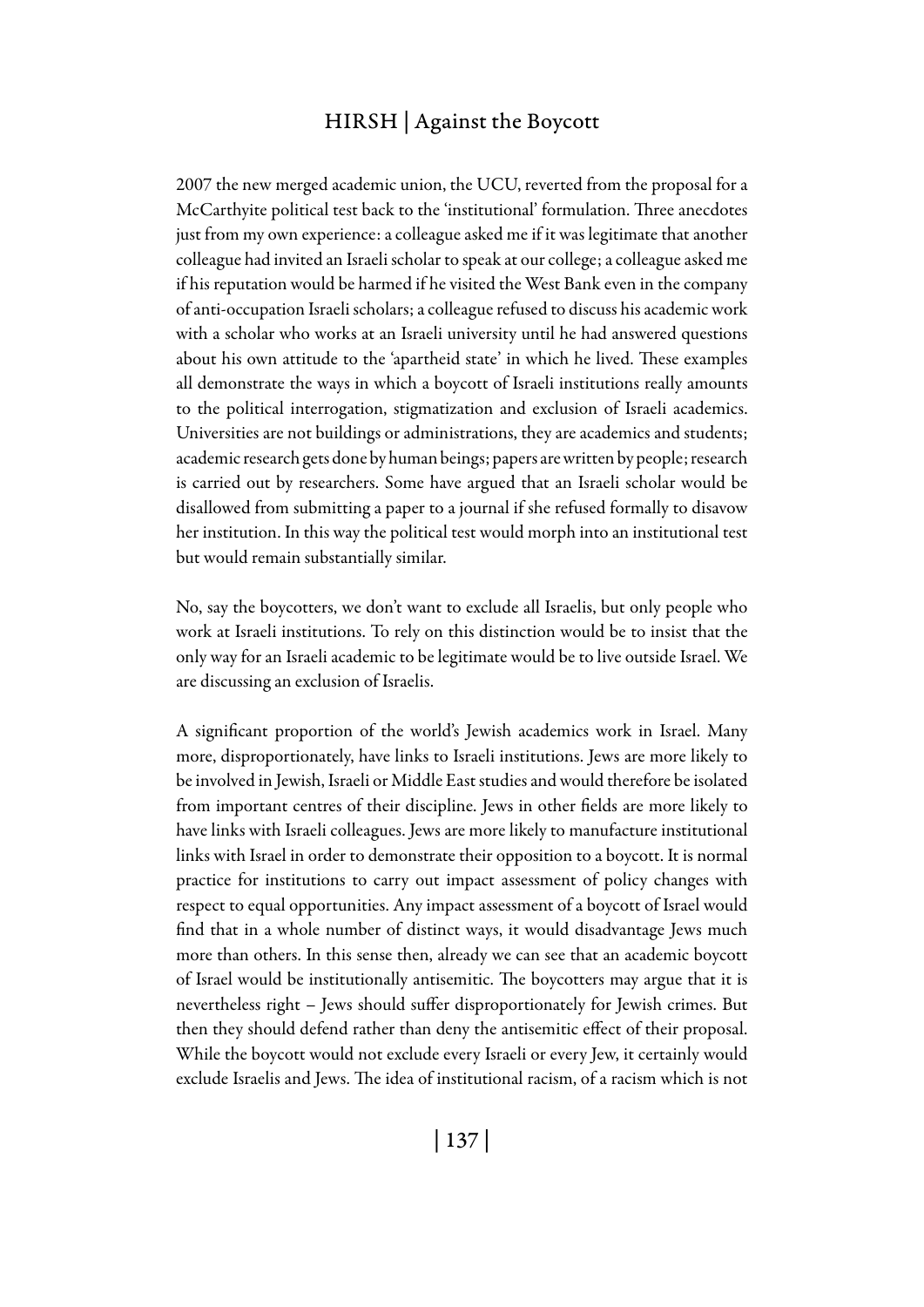2007 the new merged academic union, the UCU, reverted from the proposal for a McCarthyite political test back to the 'institutional' formulation. Three anecdotes just from my own experience: a colleague asked me if it was legitimate that another colleague had invited an Israeli scholar to speak at our college; a colleague asked me if his reputation would be harmed if he visited the West Bank even in the company of anti-occupation Israeli scholars; a colleague refused to discuss his academic work with a scholar who works at an Israeli university until he had answered questions about his own attitude to the 'apartheid state' in which he lived. These examples all demonstrate the ways in which a boycott of Israeli institutions really amounts to the political interrogation, stigmatization and exclusion of Israeli academics. Universities are not buildings or administrations, they are academics and students; academic research gets done by human beings; papers are written by people; research is carried out by researchers. Some have argued that an Israeli scholar would be disallowed from submitting a paper to a journal if she refused formally to disavow her institution. In this way the political test would morph into an institutional test but would remain substantially similar.

No, say the boycotters, we don't want to exclude all Israelis, but only people who work at Israeli institutions. To rely on this distinction would be to insist that the only way for an Israeli academic to be legitimate would be to live outside Israel. We are discussing an exclusion of Israelis.

A significant proportion of the world's Jewish academics work in Israel. Many more, disproportionately, have links to Israeli institutions. Jews are more likely to be involved in Jewish, Israeli or Middle East studies and would therefore be isolated from important centres of their discipline. Jews in other fields are more likely to have links with Israeli colleagues. Jews are more likely to manufacture institutional links with Israel in order to demonstrate their opposition to a boycott. It is normal practice for institutions to carry out impact assessment of policy changes with respect to equal opportunities. Any impact assessment of a boycott of Israel would find that in a whole number of distinct ways, it would disadvantage Jews much more than others. In this sense then, already we can see that an academic boycott of Israel would be institutionally antisemitic. The boycotters may argue that it is nevertheless right – Jews should suffer disproportionately for Jewish crimes. But then they should defend rather than deny the antisemitic effect of their proposal. While the boycott would not exclude every Israeli or every Jew, it certainly would exclude Israelis and Jews. The idea of institutional racism, of a racism which is not

| 137 |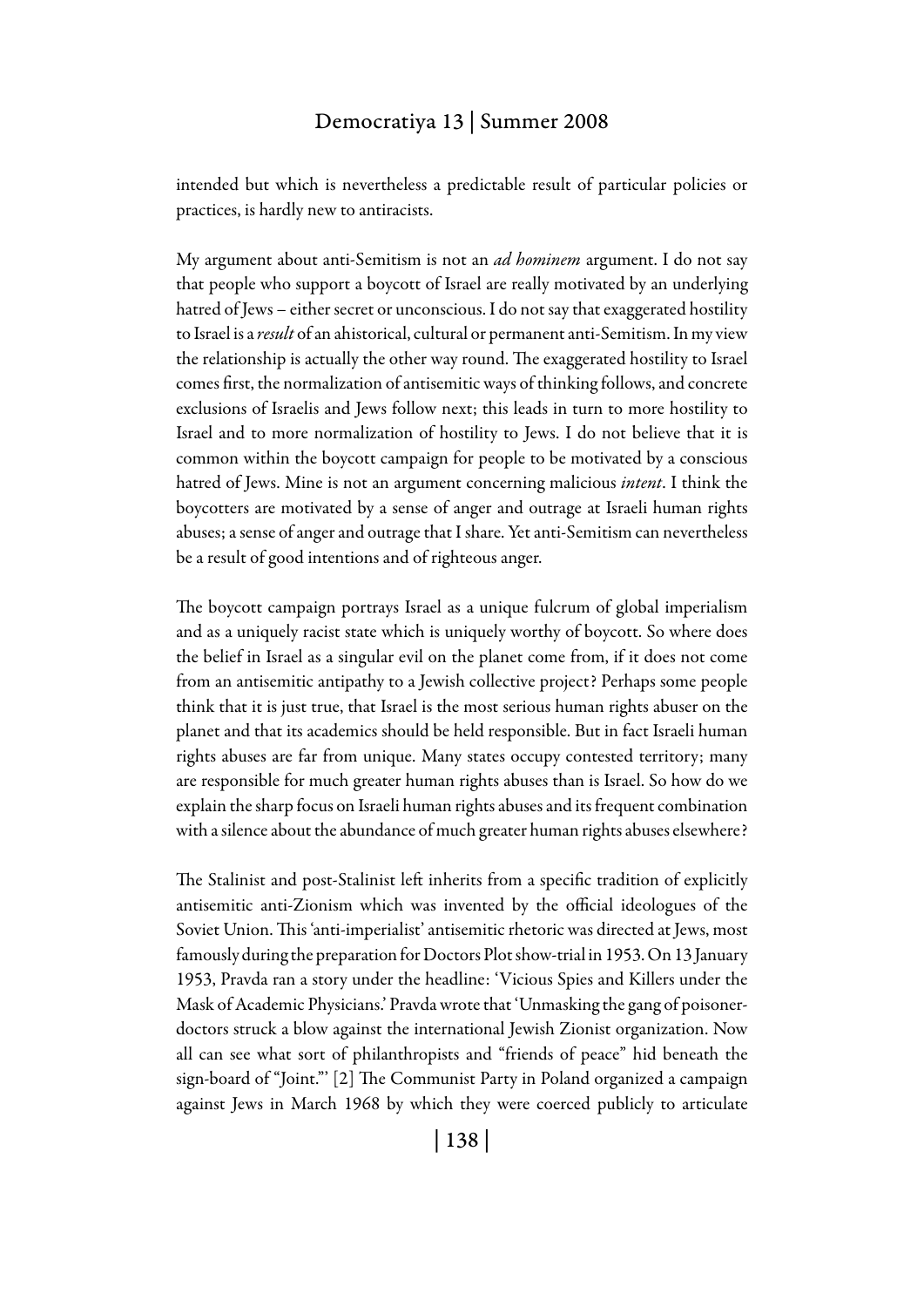intended but which is nevertheless a predictable result of particular policies or practices, is hardly new to antiracists.

My argument about anti-Semitism is not an *ad hominem* argument. I do not say that people who support a boycott of Israel are really motivated by an underlying hatred of Jews – either secret or unconscious. I do not say that exaggerated hostility to Israel is a *result* of an ahistorical, cultural or permanent anti-Semitism. In my view the relationship is actually the other way round. The exaggerated hostility to Israel comes first, the normalization of antisemitic ways of thinking follows, and concrete exclusions of Israelis and Jews follow next; this leads in turn to more hostility to Israel and to more normalization of hostility to Jews. I do not believe that it is common within the boycott campaign for people to be motivated by a conscious hatred of Jews. Mine is not an argument concerning malicious *intent*. I think the boycotters are motivated by a sense of anger and outrage at Israeli human rights abuses; a sense of anger and outrage that I share. Yet anti-Semitism can nevertheless be a result of good intentions and of righteous anger.

The boycott campaign portrays Israel as a unique fulcrum of global imperialism and as a uniquely racist state which is uniquely worthy of boycott. So where does the belief in Israel as a singular evil on the planet come from, if it does not come from an antisemitic antipathy to a Jewish collective project? Perhaps some people think that it is just true, that Israel is the most serious human rights abuser on the planet and that its academics should be held responsible. But in fact Israeli human rights abuses are far from unique. Many states occupy contested territory; many are responsible for much greater human rights abuses than is Israel. So how do we explain the sharp focus on Israeli human rights abuses and its frequent combination with a silence about the abundance of much greater human rights abuses elsewhere?

The Stalinist and post-Stalinist left inherits from a specific tradition of explicitly antisemitic anti-Zionism which was invented by the official ideologues of the Soviet Union. This 'anti-imperialist' antisemitic rhetoric was directed at Jews, most famously during the preparation for Doctors Plot show-trial in 1953. On 13 January 1953, Pravda ran a story under the headline: 'Vicious Spies and Killers under the Mask of Academic Physicians.' Pravda wrote that 'Unmasking the gang of poisonerdoctors struck a blow against the international Jewish Zionist organization. Now all can see what sort of philanthropists and "friends of peace" hid beneath the sign-board of "Joint."' [2] The Communist Party in Poland organized a campaign against Jews in March 1968 by which they were coerced publicly to articulate

| 138 |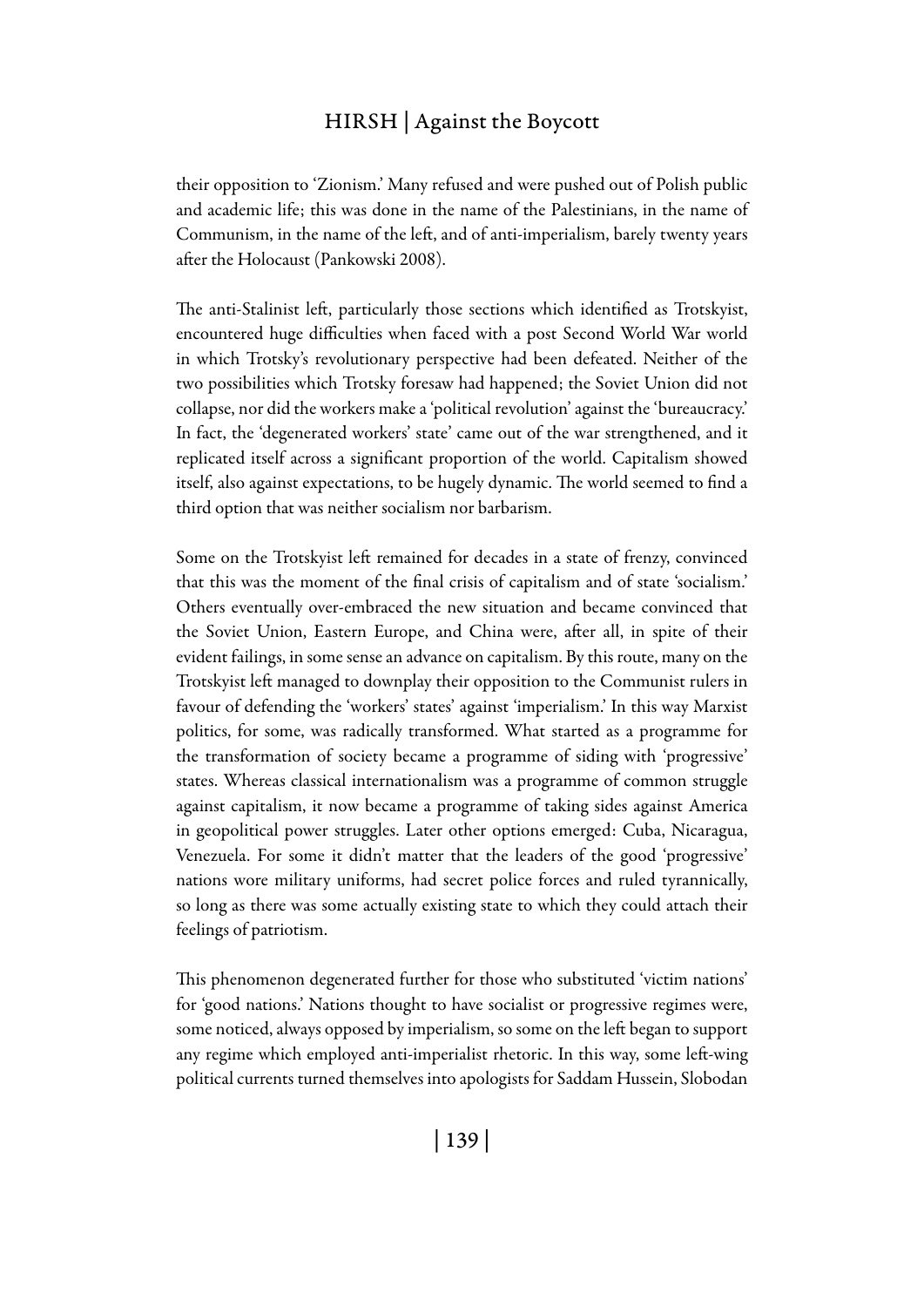their opposition to 'Zionism.' Many refused and were pushed out of Polish public and academic life; this was done in the name of the Palestinians, in the name of Communism, in the name of the left, and of anti-imperialism, barely twenty years after the Holocaust (Pankowski 2008).

The anti-Stalinist left, particularly those sections which identified as Trotskyist, encountered huge difficulties when faced with a post Second World War world in which Trotsky's revolutionary perspective had been defeated. Neither of the two possibilities which Trotsky foresaw had happened; the Soviet Union did not collapse, nor did the workers make a 'political revolution' against the 'bureaucracy.' In fact, the 'degenerated workers' state' came out of the war strengthened, and it replicated itself across a significant proportion of the world. Capitalism showed itself, also against expectations, to be hugely dynamic. The world seemed to find a third option that was neither socialism nor barbarism.

Some on the Trotskyist left remained for decades in a state of frenzy, convinced that this was the moment of the final crisis of capitalism and of state 'socialism.' Others eventually over-embraced the new situation and became convinced that the Soviet Union, Eastern Europe, and China were, after all, in spite of their evident failings, in some sense an advance on capitalism. By this route, many on the Trotskyist left managed to downplay their opposition to the Communist rulers in favour of defending the 'workers' states' against 'imperialism.' In this way Marxist politics, for some, was radically transformed. What started as a programme for the transformation of society became a programme of siding with 'progressive' states. Whereas classical internationalism was a programme of common struggle against capitalism, it now became a programme of taking sides against America in geopolitical power struggles. Later other options emerged: Cuba, Nicaragua, Venezuela. For some it didn't matter that the leaders of the good 'progressive' nations wore military uniforms, had secret police forces and ruled tyrannically, so long as there was some actually existing state to which they could attach their feelings of patriotism.

This phenomenon degenerated further for those who substituted 'victim nations' for 'good nations.' Nations thought to have socialist or progressive regimes were, some noticed, always opposed by imperialism, so some on the left began to support any regime which employed anti-imperialist rhetoric. In this way, some left-wing political currents turned themselves into apologists for Saddam Hussein, Slobodan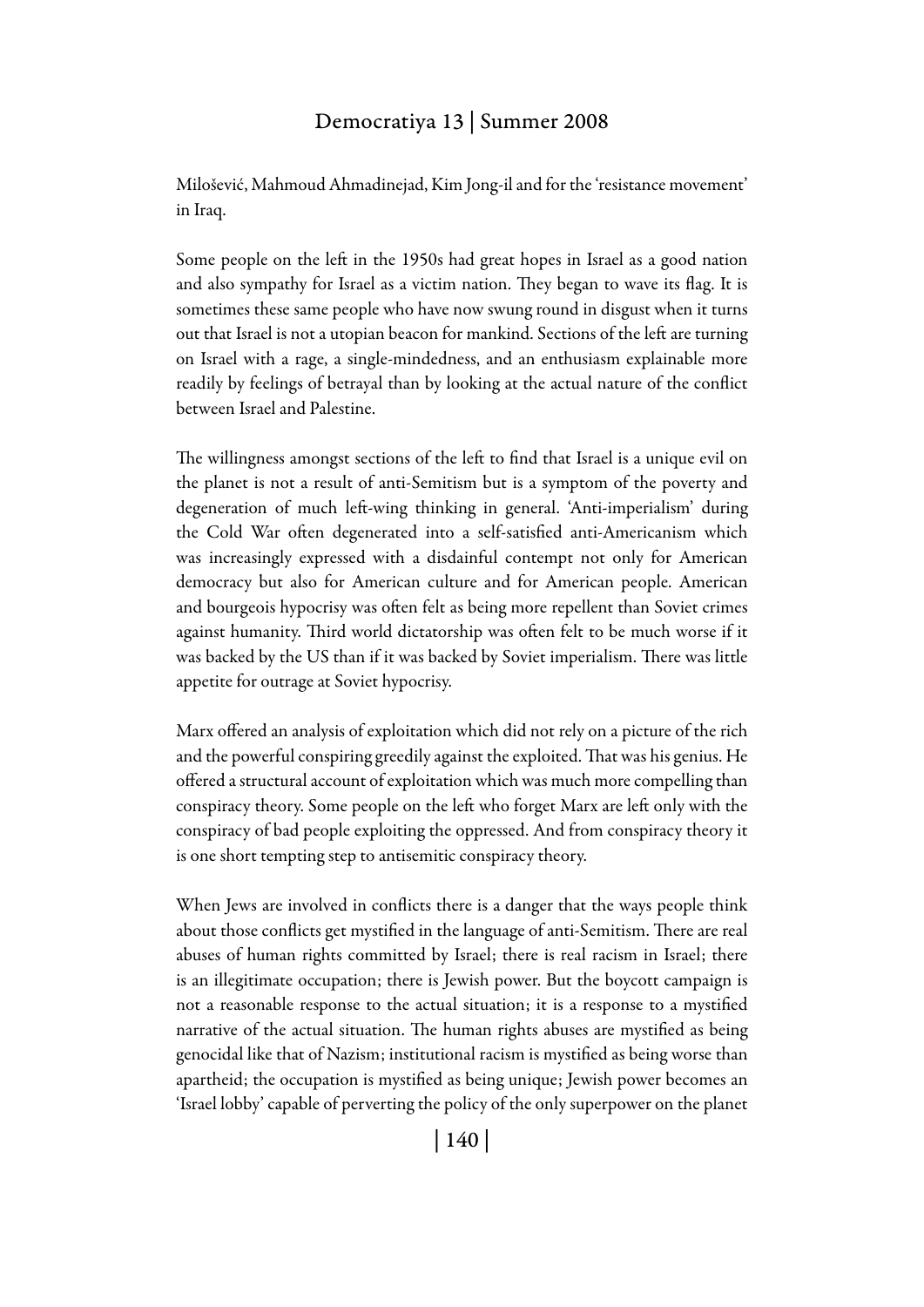Milošević, Mahmoud Ahmadinejad, Kim Jong-il and for the 'resistance movement' in Iraq.

Some people on the left in the 1950s had great hopes in Israel as a good nation and also sympathy for Israel as a victim nation. They began to wave its flag. It is sometimes these same people who have now swung round in disgust when it turns out that Israel is not a utopian beacon for mankind. Sections of the left are turning on Israel with a rage, a single-mindedness, and an enthusiasm explainable more readily by feelings of betrayal than by looking at the actual nature of the conflict between Israel and Palestine.

The willingness amongst sections of the left to find that Israel is a unique evil on the planet is not a result of anti-Semitism but is a symptom of the poverty and degeneration of much left-wing thinking in general. 'Anti-imperialism' during the Cold War often degenerated into a self-satisfied anti-Americanism which was increasingly expressed with a disdainful contempt not only for American democracy but also for American culture and for American people. American and bourgeois hypocrisy was often felt as being more repellent than Soviet crimes against humanity. Third world dictatorship was often felt to be much worse if it was backed by the US than if it was backed by Soviet imperialism. There was little appetite for outrage at Soviet hypocrisy.

Marx offered an analysis of exploitation which did not rely on a picture of the rich and the powerful conspiring greedily against the exploited. That was his genius. He offered a structural account of exploitation which was much more compelling than conspiracy theory. Some people on the left who forget Marx are left only with the conspiracy of bad people exploiting the oppressed. And from conspiracy theory it is one short tempting step to antisemitic conspiracy theory.

When Jews are involved in conflicts there is a danger that the ways people think about those conflicts get mystified in the language of anti-Semitism. There are real abuses of human rights committed by Israel; there is real racism in Israel; there is an illegitimate occupation; there is Jewish power. But the boycott campaign is not a reasonable response to the actual situation; it is a response to a mystified narrative of the actual situation. The human rights abuses are mystified as being genocidal like that of Nazism; institutional racism is mystified as being worse than apartheid; the occupation is mystified as being unique; Jewish power becomes an 'Israel lobby' capable of perverting the policy of the only superpower on the planet

| 140 |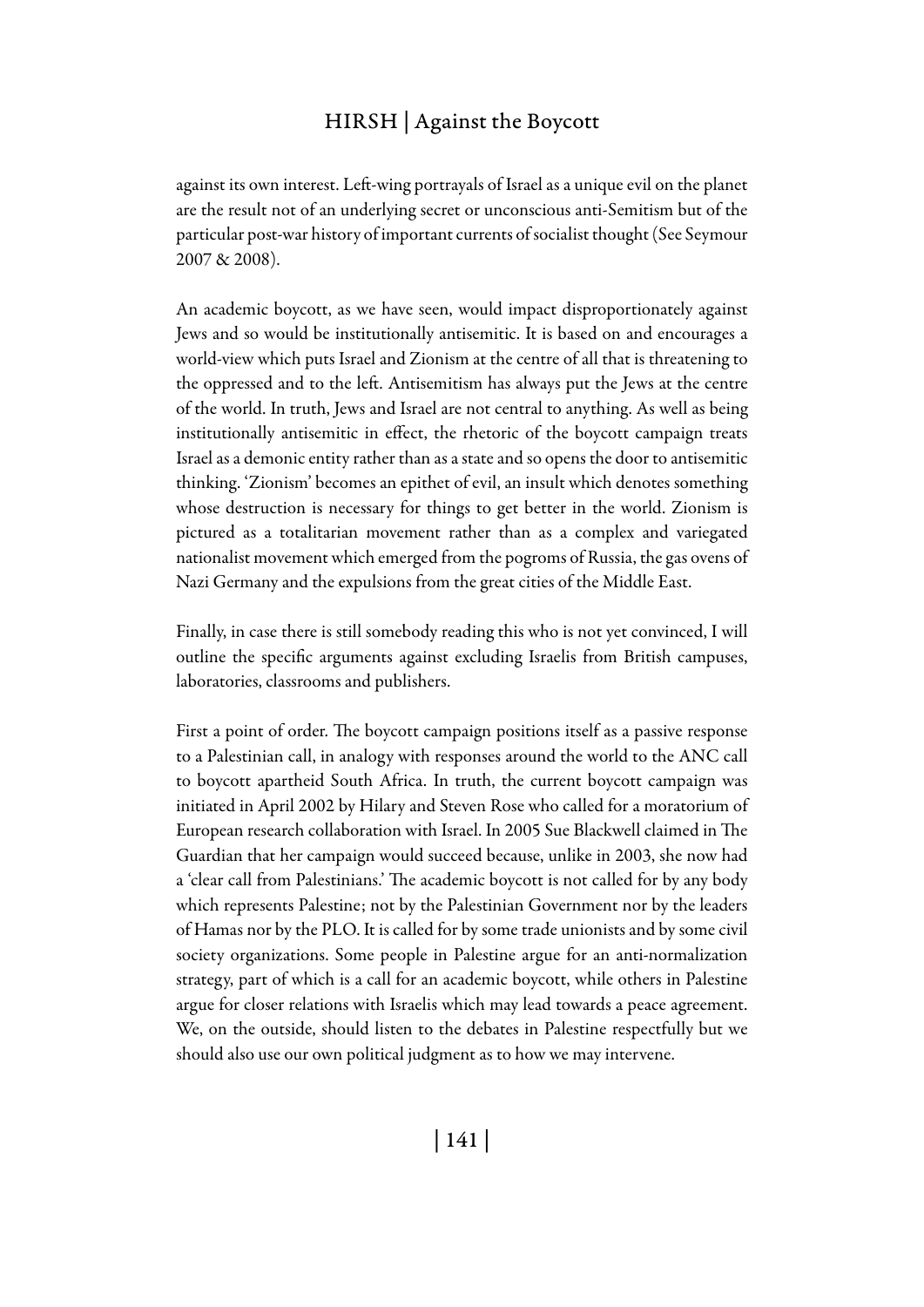against its own interest. Left-wing portrayals of Israel as a unique evil on the planet are the result not of an underlying secret or unconscious anti-Semitism but of the particular post-war history of important currents of socialist thought (See Seymour 2007 & 2008).

An academic boycott, as we have seen, would impact disproportionately against Jews and so would be institutionally antisemitic. It is based on and encourages a world-view which puts Israel and Zionism at the centre of all that is threatening to the oppressed and to the left. Antisemitism has always put the Jews at the centre of the world. In truth, Jews and Israel are not central to anything. As well as being institutionally antisemitic in effect, the rhetoric of the boycott campaign treats Israel as a demonic entity rather than as a state and so opens the door to antisemitic thinking. 'Zionism' becomes an epithet of evil, an insult which denotes something whose destruction is necessary for things to get better in the world. Zionism is pictured as a totalitarian movement rather than as a complex and variegated nationalist movement which emerged from the pogroms of Russia, the gas ovens of Nazi Germany and the expulsions from the great cities of the Middle East.

Finally, in case there is still somebody reading this who is not yet convinced, I will outline the specific arguments against excluding Israelis from British campuses, laboratories, classrooms and publishers.

First a point of order. The boycott campaign positions itself as a passive response to a Palestinian call, in analogy with responses around the world to the ANC call to boycott apartheid South Africa. In truth, the current boycott campaign was initiated in April 2002 by Hilary and Steven Rose who called for a moratorium of European research collaboration with Israel. In 2005 Sue Blackwell claimed in The Guardian that her campaign would succeed because, unlike in 2003, she now had a 'clear call from Palestinians.' The academic boycott is not called for by any body which represents Palestine; not by the Palestinian Government nor by the leaders of Hamas nor by the PLO. It is called for by some trade unionists and by some civil society organizations. Some people in Palestine argue for an anti-normalization strategy, part of which is a call for an academic boycott, while others in Palestine argue for closer relations with Israelis which may lead towards a peace agreement. We, on the outside, should listen to the debates in Palestine respectfully but we should also use our own political judgment as to how we may intervene.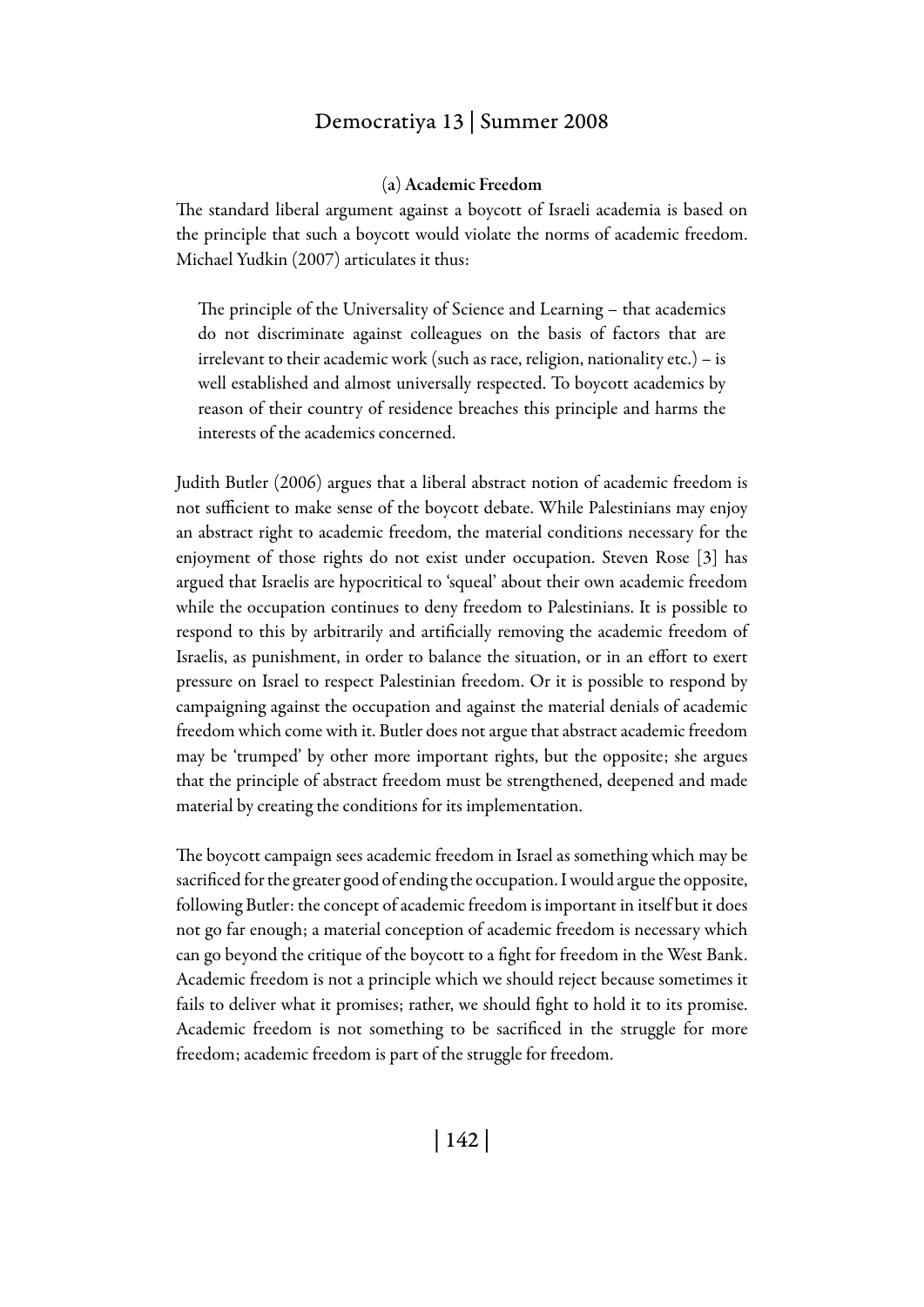#### (a) Academic Freedom

The standard liberal argument against a boycott of Israeli academia is based on the principle that such a boycott would violate the norms of academic freedom. Michael Yudkin (2007) articulates it thus:

The principle of the Universality of Science and Learning – that academics do not discriminate against colleagues on the basis of factors that are irrelevant to their academic work (such as race, religion, nationality etc.) – is well established and almost universally respected. To boycott academics by reason of their country of residence breaches this principle and harms the interests of the academics concerned.

Judith Butler (2006) argues that a liberal abstract notion of academic freedom is not sufficient to make sense of the boycott debate. While Palestinians may enjoy an abstract right to academic freedom, the material conditions necessary for the enjoyment of those rights do not exist under occupation. Steven Rose [3] has argued that Israelis are hypocritical to 'squeal' about their own academic freedom while the occupation continues to deny freedom to Palestinians. It is possible to respond to this by arbitrarily and artificially removing the academic freedom of Israelis, as punishment, in order to balance the situation, or in an effort to exert pressure on Israel to respect Palestinian freedom. Or it is possible to respond by campaigning against the occupation and against the material denials of academic freedom which come with it. Butler does not argue that abstract academic freedom may be 'trumped' by other more important rights, but the opposite; she argues that the principle of abstract freedom must be strengthened, deepened and made material by creating the conditions for its implementation.

The boycott campaign sees academic freedom in Israel as something which may be sacrificed for the greater good of ending the occupation. I would argue the opposite, following Butler: the concept of academic freedom is important in itself but it does not go far enough; a material conception of academic freedom is necessary which can go beyond the critique of the boycott to a fight for freedom in the West Bank. Academic freedom is not a principle which we should reject because sometimes it fails to deliver what it promises; rather, we should fight to hold it to its promise. Academic freedom is not something to be sacrificed in the struggle for more freedom; academic freedom is part of the struggle for freedom.

| 142 |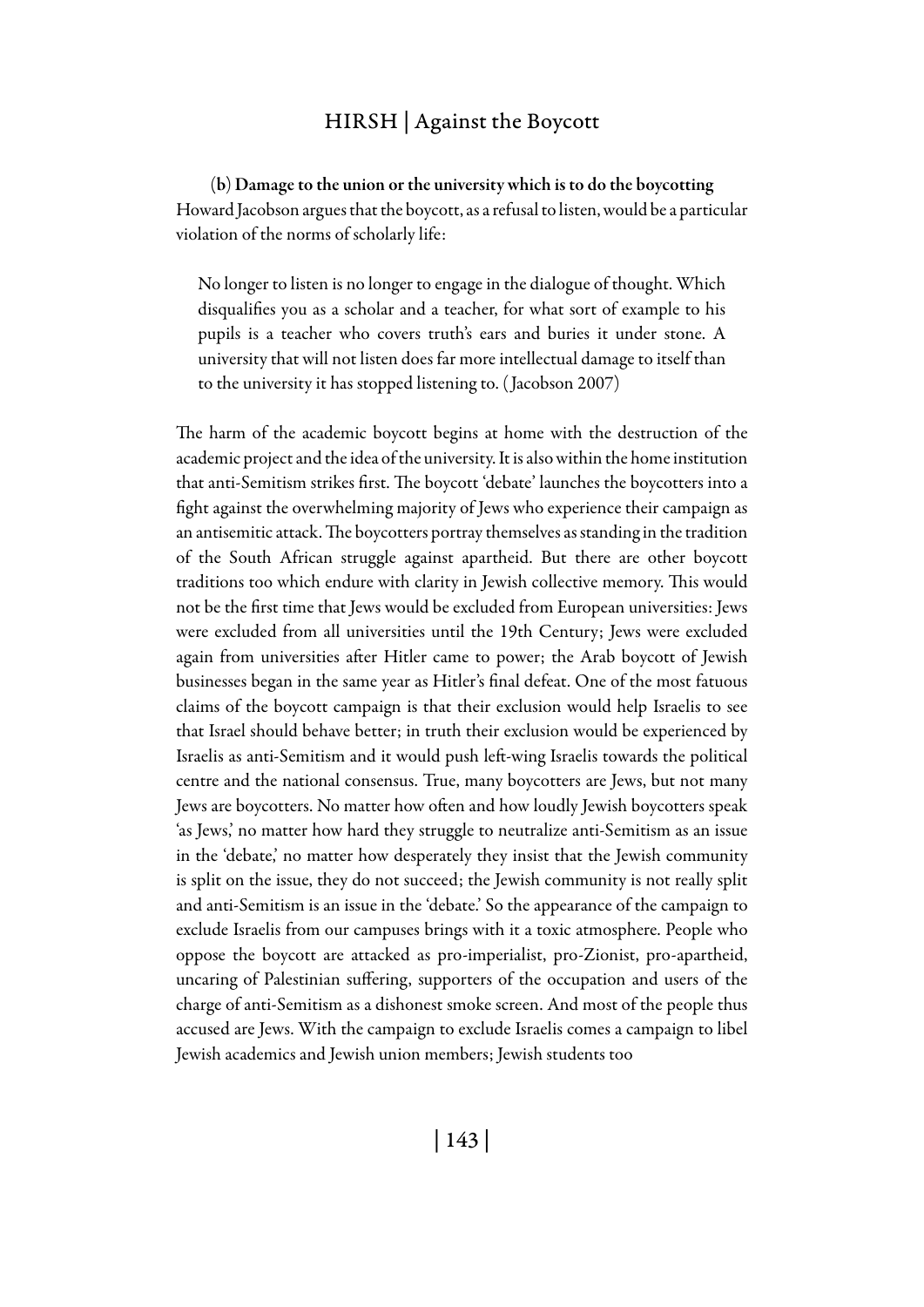(b) Damage to the union or the university which is to do the boycotting Howard Jacobson argues that the boycott, as a refusal to listen, would be a particular violation of the norms of scholarly life:

No longer to listen is no longer to engage in the dialogue of thought. Which disqualifies you as a scholar and a teacher, for what sort of example to his pupils is a teacher who covers truth's ears and buries it under stone. A university that will not listen does far more intellectual damage to itself than to the university it has stopped listening to. ( Jacobson 2007)

The harm of the academic boycott begins at home with the destruction of the academic project and the idea of the university. It is also within the home institution that anti-Semitism strikes first. The boycott 'debate' launches the boycotters into a fight against the overwhelming majority of Jews who experience their campaign as an antisemitic attack. The boycotters portray themselves as standing in the tradition of the South African struggle against apartheid. But there are other boycott traditions too which endure with clarity in Jewish collective memory. This would not be the first time that Jews would be excluded from European universities: Jews were excluded from all universities until the 19th Century; Jews were excluded again from universities after Hitler came to power; the Arab boycott of Jewish businesses began in the same year as Hitler's final defeat. One of the most fatuous claims of the boycott campaign is that their exclusion would help Israelis to see that Israel should behave better; in truth their exclusion would be experienced by Israelis as anti-Semitism and it would push left-wing Israelis towards the political centre and the national consensus. True, many boycotters are Jews, but not many Jews are boycotters. No matter how often and how loudly Jewish boycotters speak 'as Jews,' no matter how hard they struggle to neutralize anti-Semitism as an issue in the 'debate,' no matter how desperately they insist that the Jewish community is split on the issue, they do not succeed; the Jewish community is not really split and anti-Semitism is an issue in the 'debate.' So the appearance of the campaign to exclude Israelis from our campuses brings with it a toxic atmosphere. People who oppose the boycott are attacked as pro-imperialist, pro-Zionist, pro-apartheid, uncaring of Palestinian suffering, supporters of the occupation and users of the charge of anti-Semitism as a dishonest smoke screen. And most of the people thus accused are Jews. With the campaign to exclude Israelis comes a campaign to libel Jewish academics and Jewish union members; Jewish students too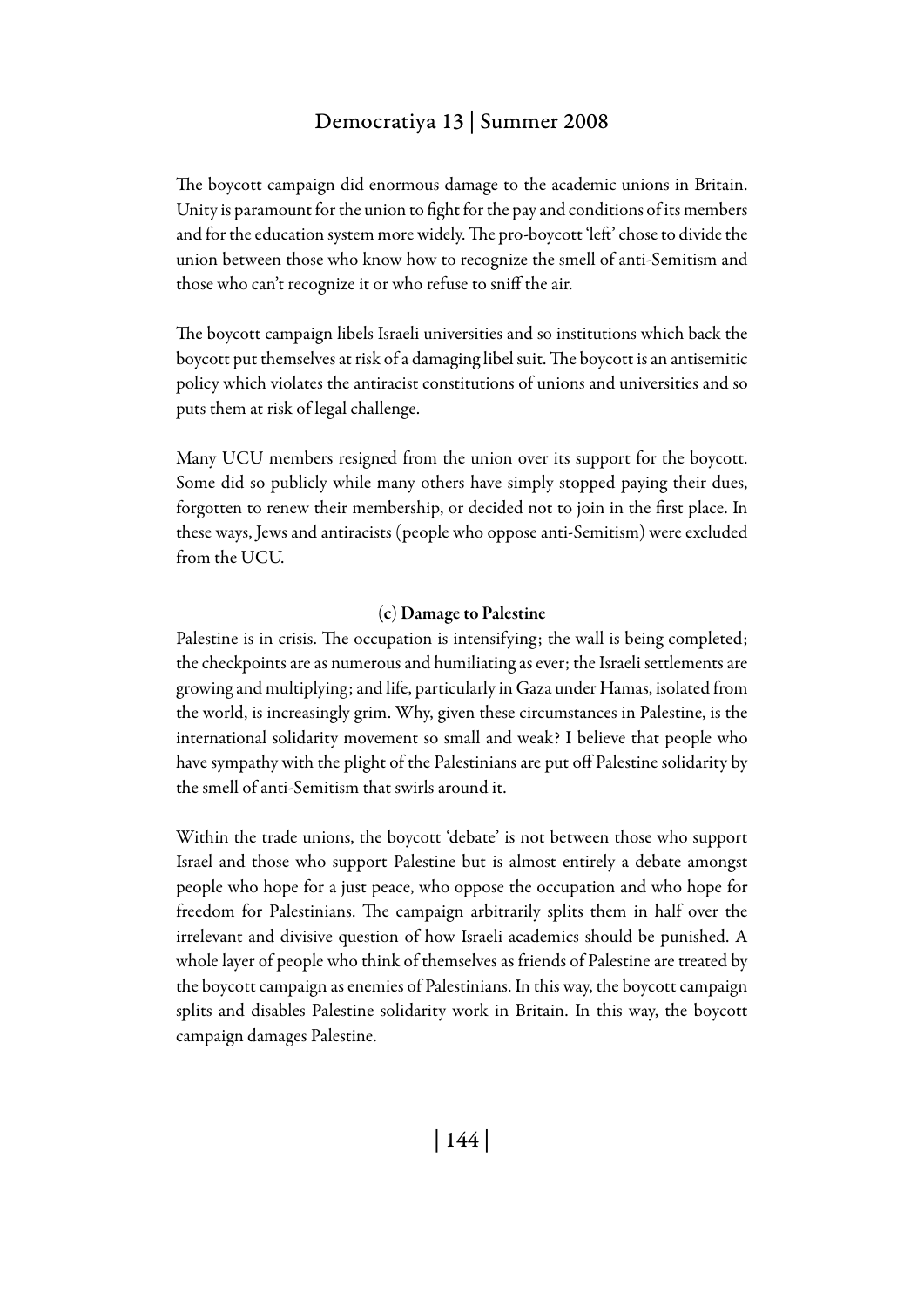The boycott campaign did enormous damage to the academic unions in Britain. Unity is paramount for the union to fight for the pay and conditions of its members and for the education system more widely. The pro-boycott 'left' chose to divide the union between those who know how to recognize the smell of anti-Semitism and those who can't recognize it or who refuse to sniff the air.

The boycott campaign libels Israeli universities and so institutions which back the boycott put themselves at risk of a damaging libel suit. The boycott is an antisemitic policy which violates the antiracist constitutions of unions and universities and so puts them at risk of legal challenge.

Many UCU members resigned from the union over its support for the boycott. Some did so publicly while many others have simply stopped paying their dues, forgotten to renew their membership, or decided not to join in the first place. In these ways, Jews and antiracists (people who oppose anti-Semitism) were excluded from the UCU.

#### (c) Damage to Palestine

Palestine is in crisis. The occupation is intensifying; the wall is being completed; the checkpoints are as numerous and humiliating as ever; the Israeli settlements are growing and multiplying; and life, particularly in Gaza under Hamas, isolated from the world, is increasingly grim. Why, given these circumstances in Palestine, is the international solidarity movement so small and weak? I believe that people who have sympathy with the plight of the Palestinians are put off Palestine solidarity by the smell of anti-Semitism that swirls around it.

Within the trade unions, the boycott 'debate' is not between those who support Israel and those who support Palestine but is almost entirely a debate amongst people who hope for a just peace, who oppose the occupation and who hope for freedom for Palestinians. The campaign arbitrarily splits them in half over the irrelevant and divisive question of how Israeli academics should be punished. A whole layer of people who think of themselves as friends of Palestine are treated by the boycott campaign as enemies of Palestinians. In this way, the boycott campaign splits and disables Palestine solidarity work in Britain. In this way, the boycott campaign damages Palestine.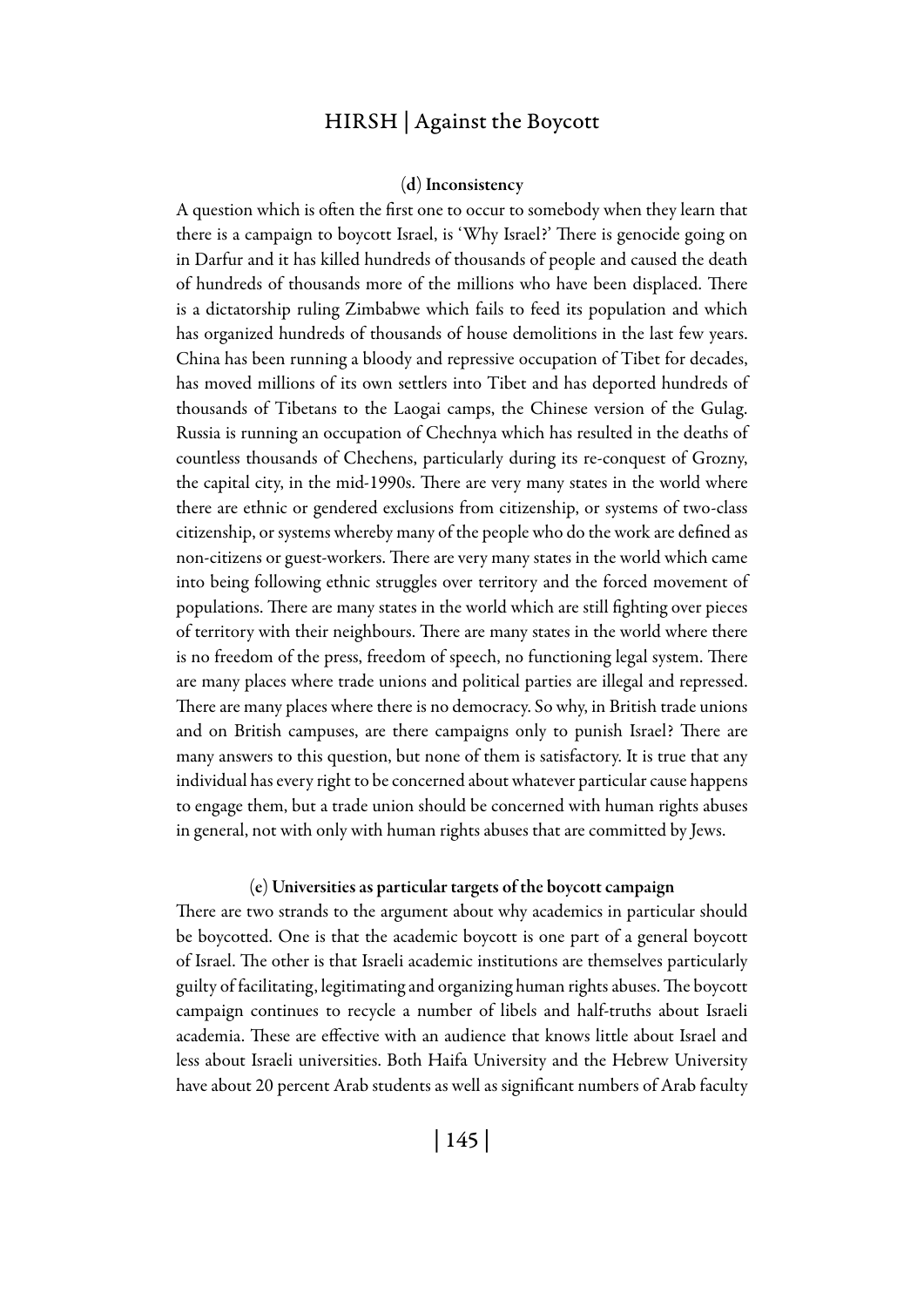#### (d) Inconsistency

A question which is often the first one to occur to somebody when they learn that there is a campaign to boycott Israel, is 'Why Israel?' There is genocide going on in Darfur and it has killed hundreds of thousands of people and caused the death of hundreds of thousands more of the millions who have been displaced. There is a dictatorship ruling Zimbabwe which fails to feed its population and which has organized hundreds of thousands of house demolitions in the last few years. China has been running a bloody and repressive occupation of Tibet for decades, has moved millions of its own settlers into Tibet and has deported hundreds of thousands of Tibetans to the Laogai camps, the Chinese version of the Gulag. Russia is running an occupation of Chechnya which has resulted in the deaths of countless thousands of Chechens, particularly during its re-conquest of Grozny, the capital city, in the mid-1990s. There are very many states in the world where there are ethnic or gendered exclusions from citizenship, or systems of two-class citizenship, or systems whereby many of the people who do the work are defined as non-citizens or guest-workers. There are very many states in the world which came into being following ethnic struggles over territory and the forced movement of populations. There are many states in the world which are still fighting over pieces of territory with their neighbours. There are many states in the world where there is no freedom of the press, freedom of speech, no functioning legal system. There are many places where trade unions and political parties are illegal and repressed. There are many places where there is no democracy. So why, in British trade unions and on British campuses, are there campaigns only to punish Israel? There are many answers to this question, but none of them is satisfactory. It is true that any individual has every right to be concerned about whatever particular cause happens to engage them, but a trade union should be concerned with human rights abuses in general, not with only with human rights abuses that are committed by Jews.

#### (e) Universities as particular targets of the boycott campaign

There are two strands to the argument about why academics in particular should be boycotted. One is that the academic boycott is one part of a general boycott of Israel. The other is that Israeli academic institutions are themselves particularly guilty of facilitating, legitimating and organizing human rights abuses. The boycott campaign continues to recycle a number of libels and half-truths about Israeli academia. These are effective with an audience that knows little about Israel and less about Israeli universities. Both Haifa University and the Hebrew University have about 20 percent Arab students as well as significant numbers of Arab faculty

| 145 |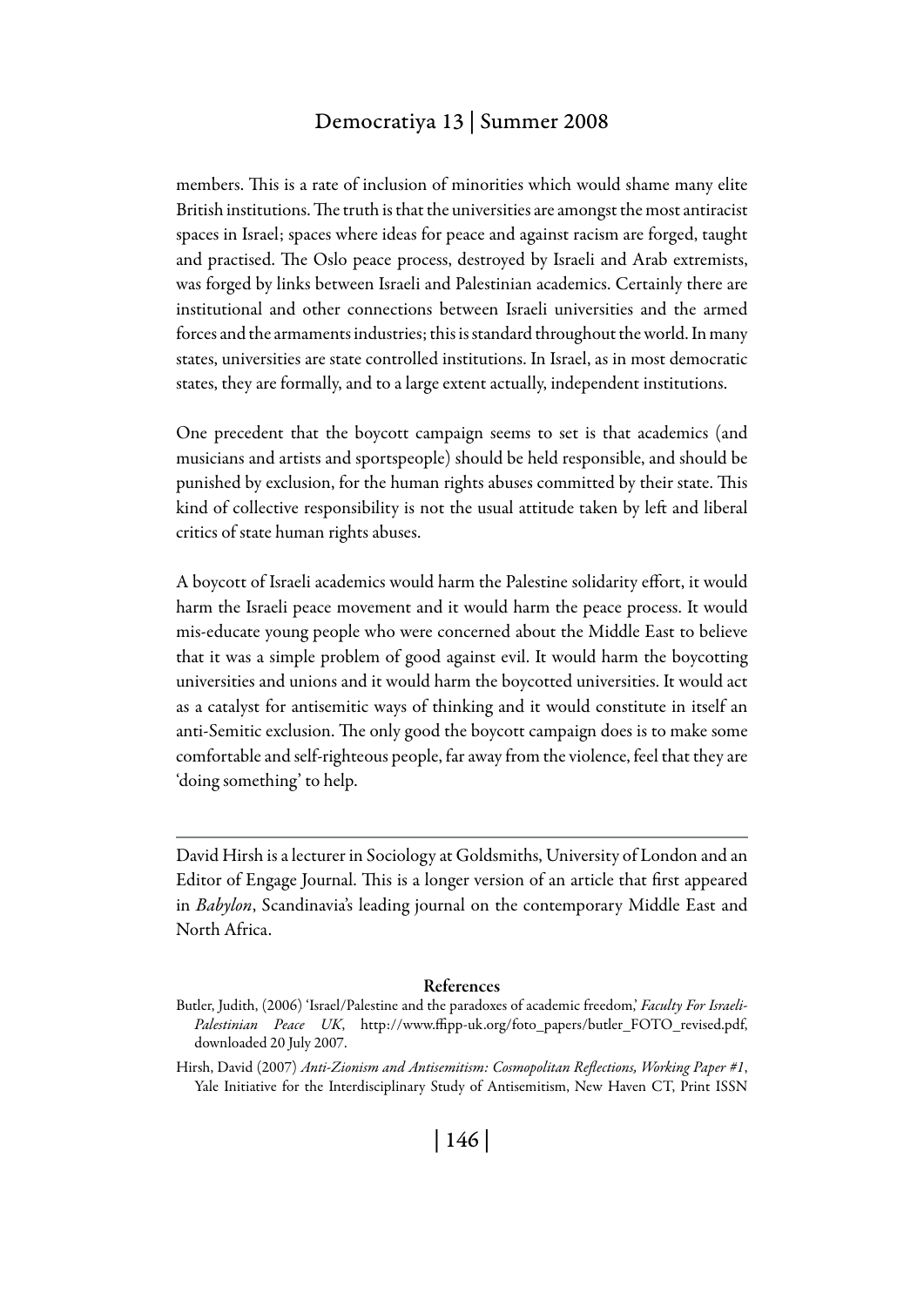members. This is a rate of inclusion of minorities which would shame many elite British institutions. The truth is that the universities are amongst the most antiracist spaces in Israel; spaces where ideas for peace and against racism are forged, taught and practised. The Oslo peace process, destroyed by Israeli and Arab extremists, was forged by links between Israeli and Palestinian academics. Certainly there are institutional and other connections between Israeli universities and the armed forces and the armaments industries; this is standard throughout the world. In many states, universities are state controlled institutions. In Israel, as in most democratic states, they are formally, and to a large extent actually, independent institutions.

One precedent that the boycott campaign seems to set is that academics (and musicians and artists and sportspeople) should be held responsible, and should be punished by exclusion, for the human rights abuses committed by their state. This kind of collective responsibility is not the usual attitude taken by left and liberal critics of state human rights abuses.

A boycott of Israeli academics would harm the Palestine solidarity effort, it would harm the Israeli peace movement and it would harm the peace process. It would mis-educate young people who were concerned about the Middle East to believe that it was a simple problem of good against evil. It would harm the boycotting universities and unions and it would harm the boycotted universities. It would act as a catalyst for antisemitic ways of thinking and it would constitute in itself an anti-Semitic exclusion. The only good the boycott campaign does is to make some comfortable and self-righteous people, far away from the violence, feel that they are 'doing something' to help.

David Hirsh is a lecturer in Sociology at Goldsmiths, University of London and an Editor of Engage Journal. This is a longer version of an article that first appeared in *Babylon*, Scandinavia's leading journal on the contemporary Middle East and North Africa.

#### References

Butler, Judith, (2006) 'Israel/Palestine and the paradoxes of academic freedom,' *Faculty For Israeli-Palestinian Peace UK*, http://www.ffipp-uk.org/foto\_papers/butler\_FOTO\_revised.pdf, downloaded 20 July 2007.

Hirsh, David (2007) *Anti-Zionism and Antisemitism: Cosmopolitan Reflections, Working Paper #1*, Yale Initiative for the Interdisciplinary Study of Antisemitism, New Haven CT, Print ISSN